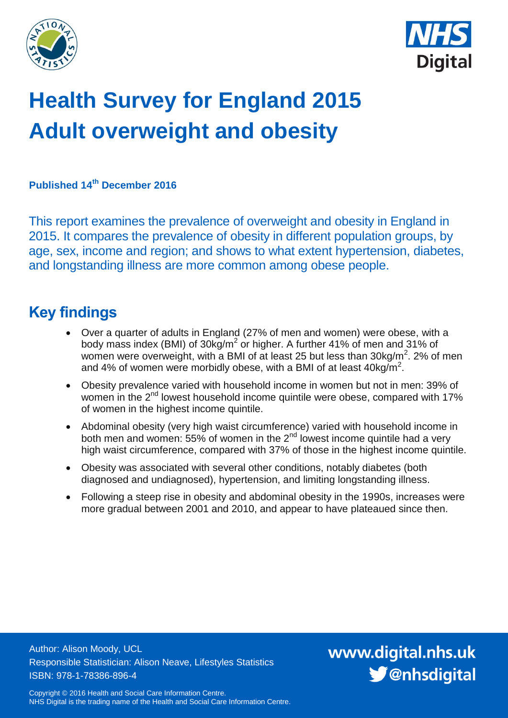



# **Health Survey for England 2015 Adult overweight and obesity**

**Published 14th December 2016**

This report examines the prevalence of overweight and obesity in England in 2015. It compares the prevalence of obesity in different population groups, by age, sex, income and region; and shows to what extent hypertension, diabetes, and longstanding illness are more common among obese people.

## <span id="page-0-0"></span>**Key findings**

- Over a quarter of adults in England (27% of men and women) were obese, with a body mass index (BMI) of 30kg/m<sup>2</sup> or higher. A further 41% of men and 31% of women were overweight, with a BMI of at least 25 but less than  $30\text{kg/m}^2$ . 2% of men and 4% of women were morbidly obese, with a BMI of at least  $40\text{kg/m}^2$ .
- Obesity prevalence varied with household income in women but not in men: 39% of women in the 2<sup>nd</sup> lowest household income quintile were obese, compared with 17% of women in the highest income quintile.
- Abdominal obesity (very high waist circumference) varied with household income in both men and women:  $55\%$  of women in the 2<sup>nd</sup> lowest income quintile had a very high waist circumference, compared with 37% of those in the highest income quintile.
- Obesity was associated with several other conditions, notably diabetes (both diagnosed and undiagnosed), hypertension, and limiting longstanding illness.
- Following a steep rise in obesity and abdominal obesity in the 1990s, increases were more gradual between 2001 and 2010, and appear to have plateaued since then.

Author: Alison Moody, UCL Responsible Statistician: Alison Neave, Lifestyles Statistics ISBN: 978-1-78386-896-4

www.digital.nhs.uk S @nhsdigital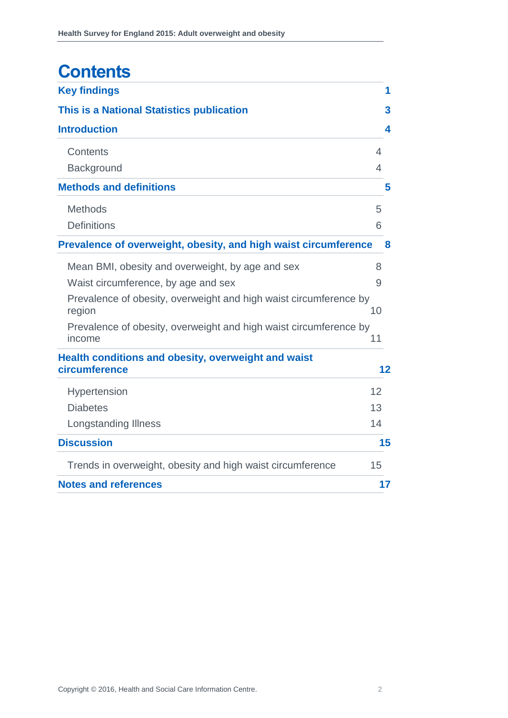## **Contents**

| <b>Key findings</b>                                                         | 1              |
|-----------------------------------------------------------------------------|----------------|
| This is a National Statistics publication                                   | 3              |
| <b>Introduction</b>                                                         | 4              |
| Contents                                                                    | $\overline{4}$ |
| Background                                                                  | 4              |
| <b>Methods and definitions</b>                                              | 5              |
| <b>Methods</b>                                                              | 5              |
| <b>Definitions</b>                                                          | 6              |
| Prevalence of overweight, obesity, and high waist circumference             | 8              |
| Mean BMI, obesity and overweight, by age and sex                            | 8              |
| Waist circumference, by age and sex                                         | 9              |
| Prevalence of obesity, overweight and high waist circumference by<br>region | 10             |
| Prevalence of obesity, overweight and high waist circumference by           |                |
| income                                                                      | 11             |
| Health conditions and obesity, overweight and waist<br>circumference        | 12             |
|                                                                             |                |
| Hypertension                                                                | 12             |
| <b>Diabetes</b>                                                             | 13             |
| <b>Longstanding Illness</b>                                                 | 14             |
| <b>Discussion</b>                                                           | 15             |
| Trends in overweight, obesity and high waist circumference                  | 15             |
| <b>Notes and references</b>                                                 | 17             |
|                                                                             |                |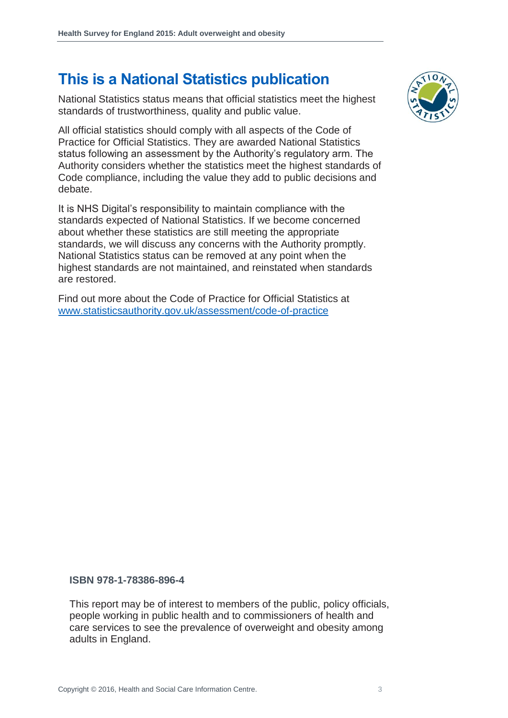## **This is a National Statistics publication**

National Statistics status means that official statistics meet the highest standards of trustworthiness, quality and public value.

All official statistics should comply with all aspects of the Code of Practice for Official Statistics. They are awarded National Statistics status following an assessment by the Authority's regulatory arm. The Authority considers whether the statistics meet the highest standards of Code compliance, including the value they add to public decisions and debate.

It is NHS Digital's responsibility to maintain compliance with the standards expected of National Statistics. If we become concerned about whether these statistics are still meeting the appropriate standards, we will discuss any concerns with the Authority promptly. National Statistics status can be removed at any point when the highest standards are not maintained, and reinstated when standards are restored.

Find out more about the Code of Practice for Official Statistics at [www.statisticsauthority.gov.uk/assessment/code-of-practice](http://www.statisticsauthority.gov.uk/assessment/code-of-practice)



#### **ISBN 978-1-78386-896-4**

This report may be of interest to members of the public, policy officials, people working in public health and to commissioners of health and care services to see the prevalence of overweight and obesity among adults in England.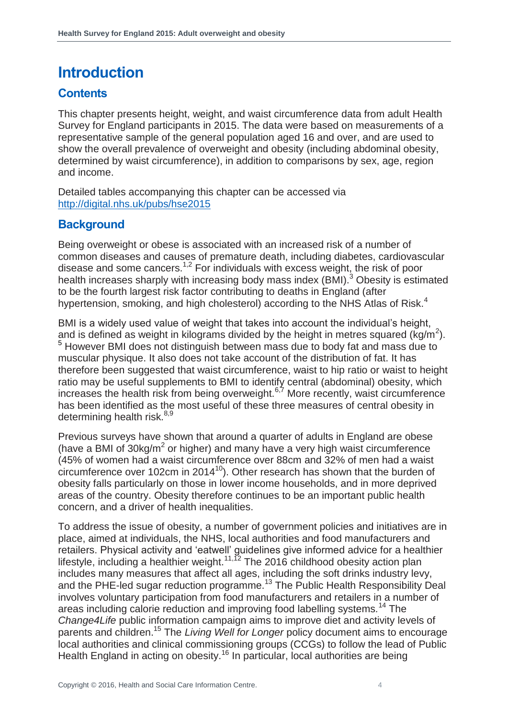## <span id="page-3-0"></span>**Introduction**

#### <span id="page-3-1"></span>**Contents**

This chapter presents height, weight, and waist circumference data from adult Health Survey for England participants in 2015. The data were based on measurements of a representative sample of the general population aged 16 and over, and are used to show the overall prevalence of overweight and obesity (including abdominal obesity, determined by waist circumference), in addition to comparisons by sex, age, region and income.

Detailed tables accompanying this chapter can be accessed via <http://digital.nhs.uk/pubs/hse2015>

#### <span id="page-3-2"></span>**Background**

Being overweight or obese is associated with an increased risk of a number of common diseases and causes of premature death, including diabetes, cardiovascular disease and some cancers.<sup>1,2</sup> For individuals with excess weight, the risk of poor health increases sharply with increasing body mass index (BMI).<sup>3</sup> Obesity is estimated to be the fourth largest risk factor contributing to deaths in England (after hypertension, smoking, and high cholesterol) according to the NHS Atlas of Risk.<sup>4</sup>

<span id="page-3-3"></span>BMI is a widely used value of weight that takes into account the individual's height, and is defined as weight in kilograms divided by the height in metres squared (kg/m<sup>2</sup>). <sup>5</sup> However BMI does not distinguish between mass due to body fat and mass due to muscular physique. It also does not take account of the distribution of fat. It has therefore been suggested that waist circumference, waist to hip ratio or waist to height ratio may be useful supplements to BMI to identify central (abdominal) obesity, which increases the health risk from being overweight. $67$  More recently, waist circumference has been identified as the most useful of these three measures of central obesity in determining health risk.<sup>8,9</sup>

Previous surveys have shown that around a quarter of adults in England are obese (have a BMI of  $30\text{kg/m}^2$  or higher) and many have a very high waist circumference (45% of women had a waist circumference over 88cm and 32% of men had a waist circumference over 102cm in 2014 $10$ ). Other research has shown that the burden of obesity falls particularly on those in lower income households, and in more deprived areas of the country. Obesity therefore continues to be an important public health concern, and a driver of health inequalities.

To address the issue of obesity, a number of government policies and initiatives are in place, aimed at individuals, the NHS, local authorities and food manufacturers and retailers. Physical activity and 'eatwell' guidelines give informed advice for a healthier lifestyle, including a healthier weight.<sup>11,12</sup> The 2016 childhood obesity action plan includes many measures that affect all ages, including the soft drinks industry levy, and the PHE-led sugar reduction programme.<sup>13</sup> The Public Health Responsibility Deal involves voluntary participation from food manufacturers and retailers in a number of areas including calorie reduction and improving food labelling systems*.* <sup>14</sup> The *Change4Life* public information campaign aims to improve diet and activity levels of parents and children.<sup>15</sup> The *Living Well for Longer* policy document aims to encourage local authorities and clinical commissioning groups (CCGs) to follow the lead of Public Health England in acting on obesity.<sup>16</sup> In particular, local authorities are being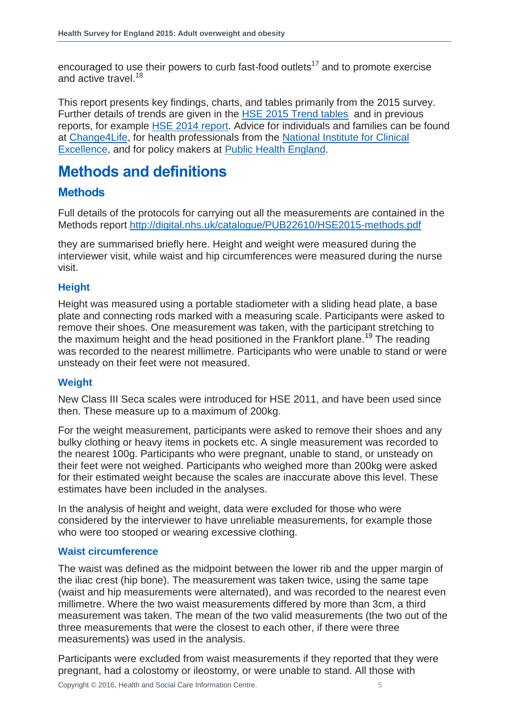encouraged to use their powers to curb fast-food outlets<sup>17</sup> and to promote exercise and active travel.<sup>18</sup>

This report presents key findings, charts, and tables primarily from the 2015 survey. Further details of trends are given in the **HSE 2015 Trend tables** and in previous reports, for example [HSE 2014 report.](http://content.digital.nhs.uk/catalogue/PUB19295) Advice for individuals and families can be found at [Change4Life,](http://www.nhs.uk/change4life/Pages/change-for-life.aspx) for health professionals from the [National Institute for Clinical](https://www.nice.org.uk/guidance/cg43)  [Excellence,](https://www.nice.org.uk/guidance/cg43) and for policy makers at [Public Health England.](https://www.noo.org.uk/)

## <span id="page-4-0"></span>**Methods and definitions**

#### <span id="page-4-1"></span>**Methods**

Full details of the protocols for carrying out all the measurements are contained in the Methods report<http://digital.nhs.uk/catalogue/PUB22610/HSE2015-methods.pdf>

they are summarised briefly here. Height and weight were measured during the interviewer visit, while waist and hip circumferences were measured during the nurse visit.

#### **Height**

Height was measured using a portable stadiometer with a sliding head plate, a base plate and connecting rods marked with a measuring scale. Participants were asked to remove their shoes. One measurement was taken, with the participant stretching to the maximum height and the head positioned in the Frankfort plane.<sup>19</sup> The reading was recorded to the nearest millimetre. Participants who were unable to stand or were unsteady on their feet were not measured.

#### **Weight**

New Class III Seca scales were introduced for HSE 2011, and have been used since then. These measure up to a maximum of 200kg.

For the weight measurement, participants were asked to remove their shoes and any bulky clothing or heavy items in pockets etc. A single measurement was recorded to the nearest 100g. Participants who were pregnant, unable to stand, or unsteady on their feet were not weighed. Participants who weighed more than 200kg were asked for their estimated weight because the scales are inaccurate above this level. These estimates have been included in the analyses.

In the analysis of height and weight, data were excluded for those who were considered by the interviewer to have unreliable measurements, for example those who were too stooped or wearing excessive clothing.

#### **Waist circumference**

The waist was defined as the midpoint between the lower rib and the upper margin of the iliac crest (hip bone). The measurement was taken twice, using the same tape (waist and hip measurements were alternated), and was recorded to the nearest even millimetre. Where the two waist measurements differed by more than 3cm, a third measurement was taken. The mean of the two valid measurements (the two out of the three measurements that were the closest to each other, if there were three measurements) was used in the analysis.

Participants were excluded from waist measurements if they reported that they were pregnant, had a colostomy or ileostomy, or were unable to stand. All those with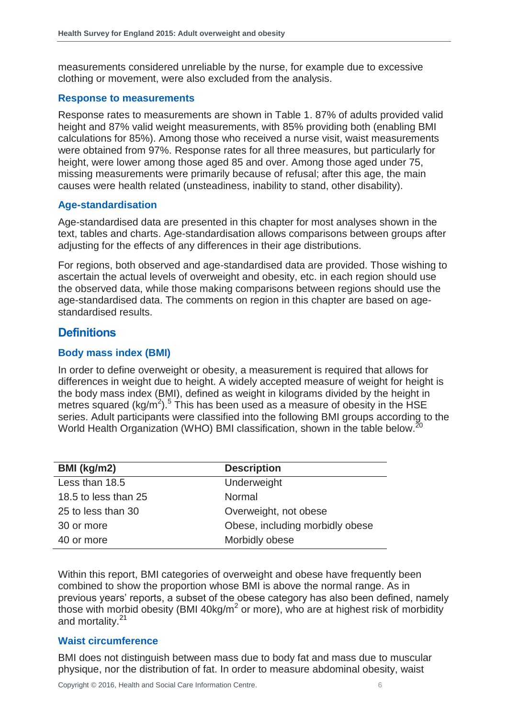measurements considered unreliable by the nurse, for example due to excessive clothing or movement, were also excluded from the analysis.

#### **Response to measurements**

Response rates to measurements are shown in Table 1. 87% of adults provided valid height and 87% valid weight measurements, with 85% providing both (enabling BMI calculations for 85%). Among those who received a nurse visit, waist measurements were obtained from 97%. Response rates for all three measures, but particularly for height, were lower among those aged 85 and over. Among those aged under 75, missing measurements were primarily because of refusal; after this age, the main causes were health related (unsteadiness, inability to stand, other disability).

#### **Age-standardisation**

Age-standardised data are presented in this chapter for most analyses shown in the text, tables and charts. Age-standardisation allows comparisons between groups after adjusting for the effects of any differences in their age distributions.

For regions, both observed and age-standardised data are provided. Those wishing to ascertain the actual levels of overweight and obesity, etc. in each region should use the observed data, while those making comparisons between regions should use the age-standardised data. The comments on region in this chapter are based on agestandardised results.

#### <span id="page-5-0"></span>**Definitions**

#### **Body mass index (BMI)**

In order to define overweight or obesity, a measurement is required that allows for differences in weight due to height. A widely accepted measure of weight for height is the body mass index (BMI), defined as weight in kilograms divided by the height in metres squared (kg/m<sup>2</sup>).<sup>[5](#page-3-3)</sup> This has been used as a measure of obesity in the  $HSE$ series. Adult participants were classified into the following BMI groups according to the World Health Organization (WHO) BMI classification, shown in the table below.<sup>20</sup>

| BMI (kg/m2)          | <b>Description</b>              |
|----------------------|---------------------------------|
| Less than 18.5       | Underweight                     |
| 18.5 to less than 25 | Normal                          |
| 25 to less than 30   | Overweight, not obese           |
| 30 or more           | Obese, including morbidly obese |
| 40 or more           | Morbidly obese                  |

Within this report, BMI categories of overweight and obese have frequently been combined to show the proportion whose BMI is above the normal range. As in previous years' reports, a subset of the obese category has also been defined, namely those with morbid obesity (BMI 40kg/m<sup>2</sup> or more), who are at highest risk of morbidity and mortality.<sup>21</sup>

#### **Waist circumference**

BMI does not distinguish between mass due to body fat and mass due to muscular physique, nor the distribution of fat. In order to measure abdominal obesity, waist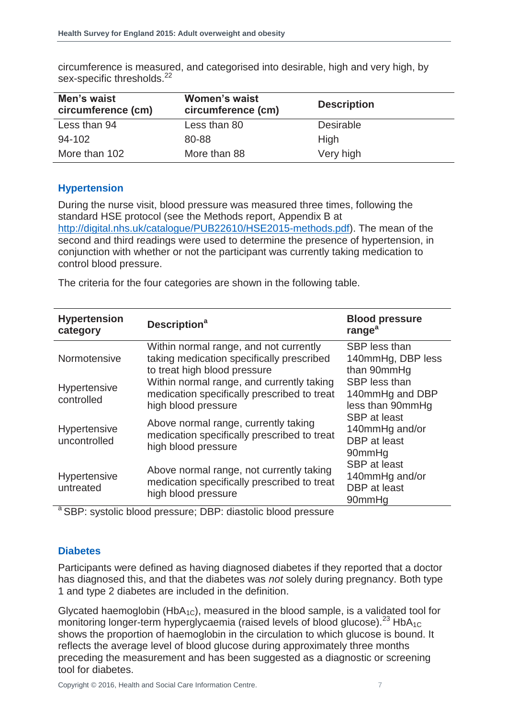| Men's waist<br>circumference (cm) | <b>Women's waist</b><br>circumference (cm) | <b>Description</b> |
|-----------------------------------|--------------------------------------------|--------------------|
| Less than 94                      | Less than 80                               | <b>Desirable</b>   |
| 94-102                            | 80-88                                      | <b>High</b>        |
| More than 102                     | More than 88                               | Very high          |

circumference is measured, and categorised into desirable, high and very high, by sex-specific thresholds.<sup>22</sup>

#### **Hypertension**

During the nurse visit, blood pressure was measured three times, following the standard HSE protocol (see the Methods report, Appendix B at [http://digital.nhs.uk/catalogue/PUB22610/HSE2015-methods.pdf\)](http://digital.nhs.uk/catalogue/PUB22610/HSE2015-methods.pdf). The mean of the second and third readings were used to determine the presence of hypertension, in conjunction with whether or not the participant was currently taking medication to control blood pressure.

The criteria for the four categories are shown in the following table.

| <b>Hypertension</b><br>category   | <b>Description<sup>a</sup></b>                                                                                      | <b>Blood pressure</b><br>range <sup>a</sup>                     |  |
|-----------------------------------|---------------------------------------------------------------------------------------------------------------------|-----------------------------------------------------------------|--|
| Normotensive                      | Within normal range, and not currently<br>taking medication specifically prescribed<br>to treat high blood pressure | SBP less than<br>140mmHg, DBP less<br>than 90mmHq               |  |
| <b>Hypertensive</b><br>controlled | Within normal range, and currently taking<br>medication specifically prescribed to treat<br>high blood pressure     | SBP less than<br>140mmHg and DBP<br>less than 90mmHg            |  |
| Hypertensive<br>uncontrolled      | Above normal range, currently taking<br>medication specifically prescribed to treat<br>high blood pressure          | <b>SBP</b> at least<br>140mmHg and/or<br>DBP at least<br>90mmHg |  |
| Hypertensive<br>untreated         | Above normal range, not currently taking<br>medication specifically prescribed to treat<br>high blood pressure      | <b>SBP</b> at least<br>140mmHg and/or<br>DBP at least<br>90mmHg |  |

<sup>a</sup> SBP: systolic blood pressure; DBP: diastolic blood pressure

#### **Diabetes**

Participants were defined as having diagnosed diabetes if they reported that a doctor has diagnosed this, and that the diabetes was *not* solely during pregnancy. Both type 1 and type 2 diabetes are included in the definition.

<span id="page-6-0"></span>Glycated haemoglobin ( $HbA_{1C}$ ), measured in the blood sample, is a validated tool for monitoring longer-term hyperglycaemia (raised levels of blood glucose).<sup>23</sup> HbA<sub>1C</sub> shows the proportion of haemoglobin in the circulation to which glucose is bound. It reflects the average level of blood glucose during approximately three months preceding the measurement and has been suggested as a diagnostic or screening tool for diabetes.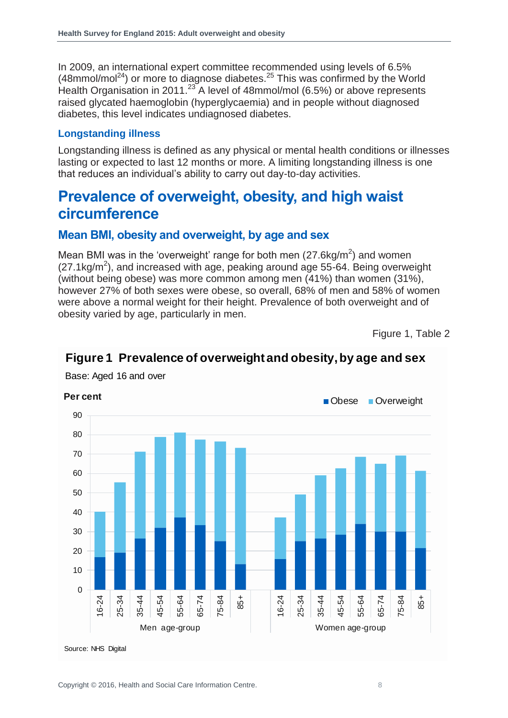In 2009, an international expert committee recommended using levels of 6.5%  $(48$ mmol/mol<sup>24</sup>) or more to diagnose diabetes.<sup>25</sup> This was confirmed by the World Health Organisation in 2011.<sup>[23](#page-6-0)</sup> A level of 48mmol/mol (6.5%) or above represents raised glycated haemoglobin (hyperglycaemia) and in people without diagnosed diabetes, this level indicates undiagnosed diabetes.

#### **Longstanding illness**

Longstanding illness is defined as any physical or mental health conditions or illnesses lasting or expected to last 12 months or more. A limiting longstanding illness is one that reduces an individual's ability to carry out day-to-day activities.

### <span id="page-7-0"></span>**Prevalence of overweight, obesity, and high waist circumference**

#### <span id="page-7-1"></span>**Mean BMI, obesity and overweight, by age and sex**

Mean BMI was in the 'overweight' range for both men  $(27.6 \text{kg/m}^2)$  and women  $(27.1 \text{kg/m}^2)$ , and increased with age, peaking around age 55-64. Being overweight (without being obese) was more common among men (41%) than women (31%), however 27% of both sexes were obese, so overall, 68% of men and 58% of women were above a normal weight for their height. Prevalence of both overweight and of obesity varied by age, particularly in men.

Figure 1, Table 2



#### **Figure 1 Prevalence of overweight and obesity, by age and sex**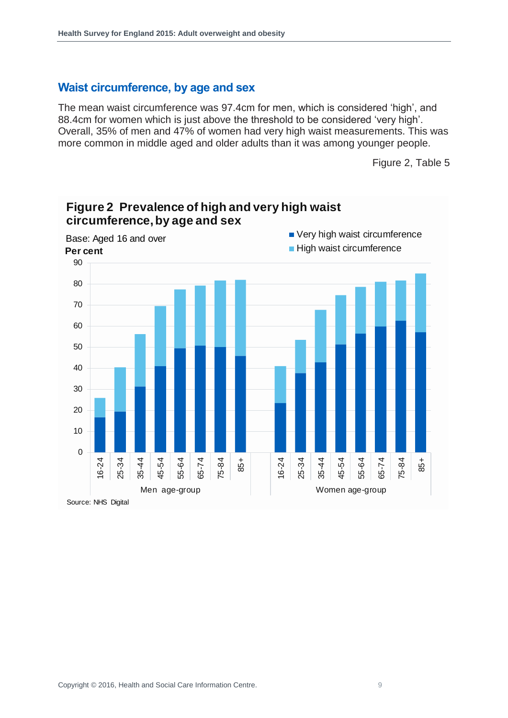#### <span id="page-8-0"></span>**Waist circumference, by age and sex**

The mean waist circumference was 97.4cm for men, which is considered 'high', and 88.4cm for women which is just above the threshold to be considered 'very high'. Overall, 35% of men and 47% of women had very high waist measurements. This was more common in middle aged and older adults than it was among younger people.

Figure 2, Table 5

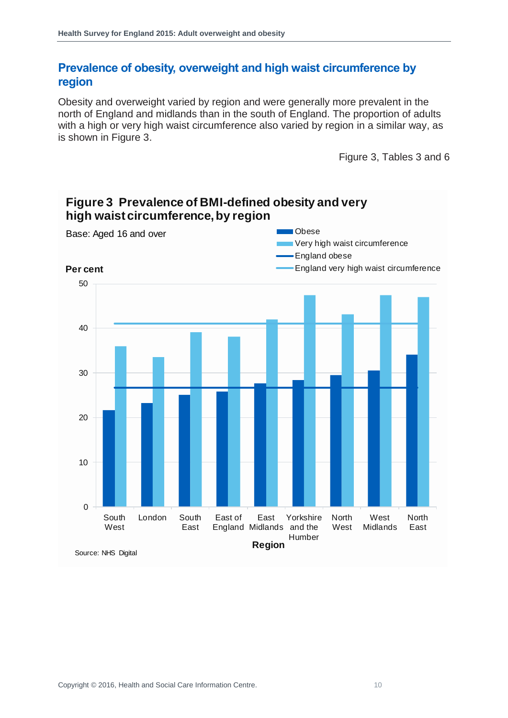#### <span id="page-9-0"></span>**Prevalence of obesity, overweight and high waist circumference by region**

Obesity and overweight varied by region and were generally more prevalent in the north of England and midlands than in the south of England. The proportion of adults with a high or very high waist circumference also varied by region in a similar way, as is shown in Figure 3.

Figure 3, Tables 3 and 6



#### **Figure 3 Prevalence of BMI-defined obesity and very high waist circumference, by region**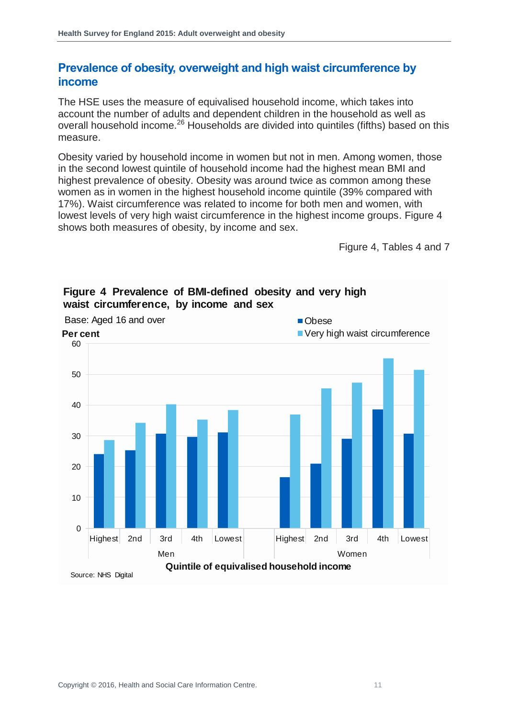#### <span id="page-10-0"></span>**Prevalence of obesity, overweight and high waist circumference by income**

The HSE uses the measure of equivalised household income, which takes into account the number of adults and dependent children in the household as well as overall household income.<sup>26</sup> Households are divided into quintiles (fifths) based on this measure.

Obesity varied by household income in women but not in men. Among women, those in the second lowest quintile of household income had the highest mean BMI and highest prevalence of obesity. Obesity was around twice as common among these women as in women in the highest household income quintile (39% compared with 17%). Waist circumference was related to income for both men and women, with lowest levels of very high waist circumference in the highest income groups. Figure 4 shows both measures of obesity, by income and sex.

Figure 4, Tables 4 and 7



#### **Figure 4 Prevalence of BMI-defined obesity and very high waist circumference, by income and sex**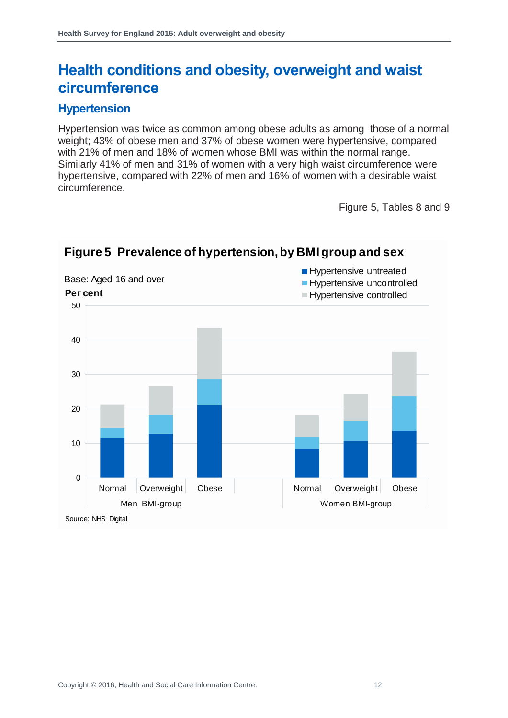### <span id="page-11-0"></span>**Health conditions and obesity, overweight and waist circumference**

#### <span id="page-11-1"></span>**Hypertension**

Hypertension was twice as common among obese adults as among those of a normal weight; 43% of obese men and 37% of obese women were hypertensive, compared with 21% of men and 18% of women whose BMI was within the normal range. Similarly 41% of men and 31% of women with a very high waist circumference were hypertensive, compared with 22% of men and 16% of women with a desirable waist circumference.

Figure 5, Tables 8 and 9



#### **Figure 5 Prevalence of hypertension, by BMI group and sex**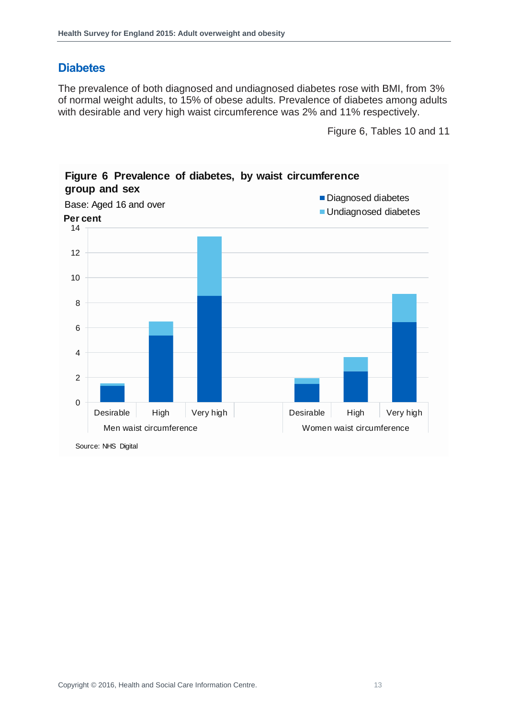#### <span id="page-12-0"></span>**Diabetes**

The prevalence of both diagnosed and undiagnosed diabetes rose with BMI, from 3% of normal weight adults, to 15% of obese adults. Prevalence of diabetes among adults with desirable and very high waist circumference was 2% and 11% respectively.

Figure 6, Tables 10 and 11



#### **Figure 6 Prevalence of diabetes, by waist circumference group and sex**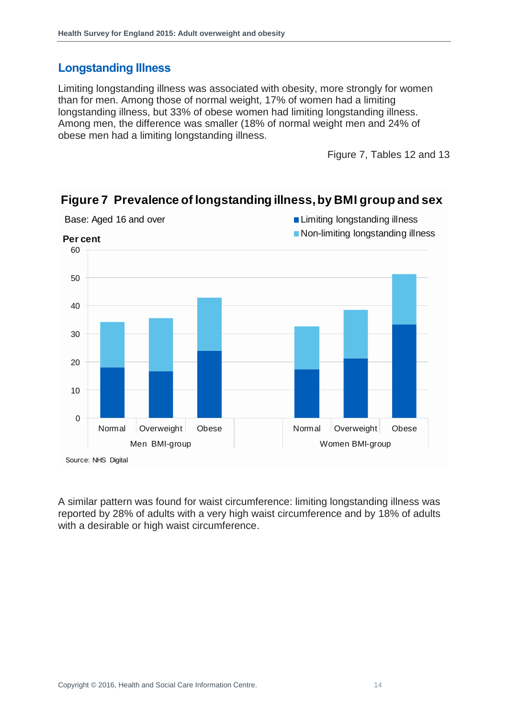#### <span id="page-13-0"></span>**Longstanding Illness**

Limiting longstanding illness was associated with obesity, more strongly for women than for men. Among those of normal weight, 17% of women had a limiting longstanding illness, but 33% of obese women had limiting longstanding illness. Among men, the difference was smaller (18% of normal weight men and 24% of obese men had a limiting longstanding illness.

Figure 7, Tables 12 and 13



#### **Figure 7 Prevalence of longstanding illness, by BMI group and sex**

A similar pattern was found for waist circumference: limiting longstanding illness was reported by 28% of adults with a very high waist circumference and by 18% of adults with a desirable or high waist circumference.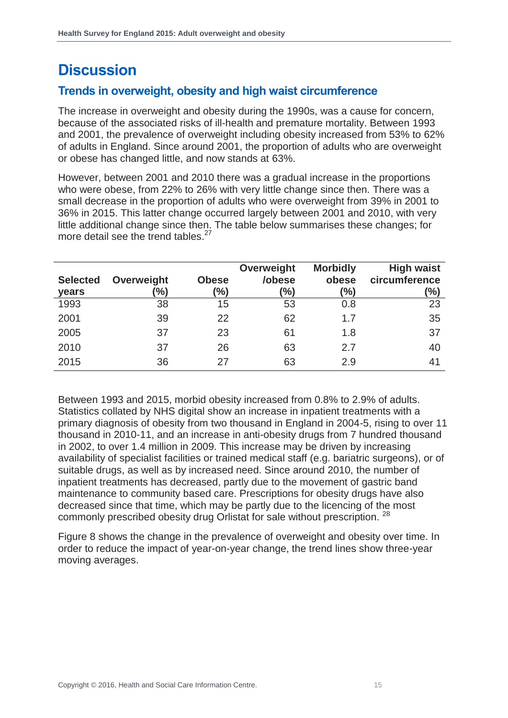## <span id="page-14-0"></span>**Discussion**

#### <span id="page-14-1"></span>**Trends in overweight, obesity and high waist circumference**

The increase in overweight and obesity during the 1990s, was a cause for concern, because of the associated risks of ill-health and premature mortality. Between 1993 and 2001, the prevalence of overweight including obesity increased from 53% to 62% of adults in England. Since around 2001, the proportion of adults who are overweight or obese has changed little, and now stands at 63%.

However, between 2001 and 2010 there was a gradual increase in the proportions who were obese, from 22% to 26% with very little change since then. There was a small decrease in the proportion of adults who were overweight from 39% in 2001 to 36% in 2015. This latter change occurred largely between 2001 and 2010, with very little additional change since then. The table below summarises these changes; for more detail see the trend tables.<sup>27</sup>

| <b>Selected</b><br>years | Overweight<br>'%) | <b>Obese</b><br>'%) | Overweight<br>/obese<br>$(\%)$ | <b>Morbidly</b><br>obese<br>$\frac{9}{6}$ | <b>High waist</b><br>circumference<br>$(\%)$ |
|--------------------------|-------------------|---------------------|--------------------------------|-------------------------------------------|----------------------------------------------|
| 1993                     | 38                | 15                  | 53                             | 0.8                                       | 23                                           |
| 2001                     | 39                | 22                  | 62                             | 1.7                                       | 35                                           |
| 2005                     | 37                | 23                  | 61                             | 1.8                                       | 37                                           |
| 2010                     | 37                | 26                  | 63                             | 2.7                                       | 40                                           |
| 2015                     | 36                | 27                  | 63                             | 2.9                                       | 41                                           |

Between 1993 and 2015, morbid obesity increased from 0.8% to 2.9% of adults. Statistics collated by NHS digital show an increase in inpatient treatments with a primary diagnosis of obesity from two thousand in England in 2004-5, rising to over 11 thousand in 2010-11, and an increase in anti-obesity drugs from 7 hundred thousand in 2002, to over 1.4 million in 2009. This increase may be driven by increasing availability of specialist facilities or trained medical staff (e.g. bariatric surgeons), or of suitable drugs, as well as by increased need. Since around 2010, the number of inpatient treatments has decreased, partly due to the movement of gastric band maintenance to community based care. Prescriptions for obesity drugs have also decreased since that time, which may be partly due to the licencing of the most commonly prescribed obesity drug Orlistat for sale without prescription. <sup>28</sup>

Figure 8 shows the change in the prevalence of overweight and obesity over time. In order to reduce the impact of year-on-year change, the trend lines show three-year moving averages.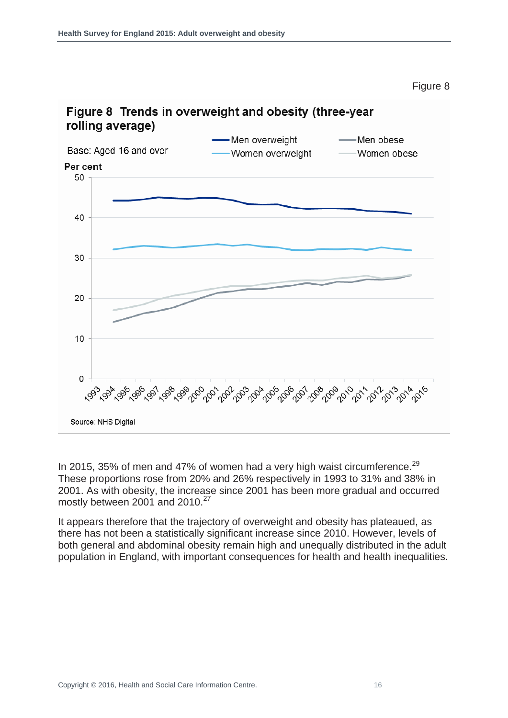Figure 8



# Figure 8 Trends in overweight and obesity (three-year

In 2015, 35% of men and 47% of women had a very high waist circumference.<sup>29</sup> These proportions rose from 20% and 26% respectively in 1993 to 31% and 38% in 2001. As with obesity, the increase since 2001 has been more gradual and occurred mostly between 2001 and 2010.<sup>27</sup>

It appears therefore that the trajectory of overweight and obesity has plateaued, as there has not been a statistically significant increase since 2010. However, levels of both general and abdominal obesity remain high and unequally distributed in the adult population in England, with important consequences for health and health inequalities.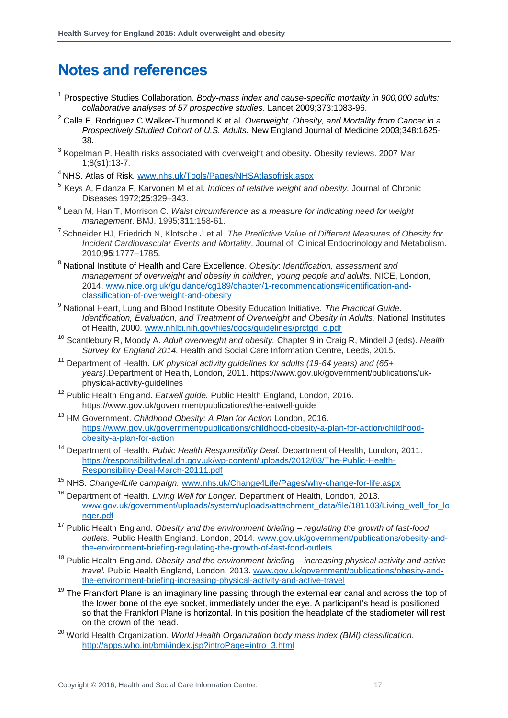### <span id="page-16-0"></span>**Notes and references**

- <sup>1</sup> Prospective Studies Collaboration. *Body-mass index and cause-specific mortality in 900,000 adults: collaborative analyses of 57 prospective studies.* Lancet 2009;373:1083-96.
- <sup>2</sup> Calle E, Rodriguez C Walker-Thurmond K et al. *Overweight, Obesity, and Mortality from Cancer in a Prospectively Studied Cohort of U.S. Adults.* New England Journal of Medicine 2003;348:1625- 38.
- <sup>3</sup> Kopelman P. Health risks associated with overweight and obesity. Obesity reviews. 2007 Mar 1;8(s1):13-7.
- <sup>4</sup> NHS. Atlas of Risk*.* [www.nhs.uk/Tools/Pages/NHSAtlasofrisk.aspx](http://www.nhs.uk/Tools/Pages/NHSAtlasofrisk.aspx)
- 5 Keys A, Fidanza F, Karvonen M et al. *Indices of relative weight and obesity.* Journal of Chronic Diseases 1972;**25**:329–343.
- 6 Lean M, Han T, Morrison C. *Waist circumference as a measure for indicating need for weight management*. BMJ. 1995;**311**:158-61.
- 7 Schneider HJ, Friedrich N, Klotsche J et al. *The Predictive Value of Different Measures of Obesity for Incident Cardiovascular Events and Mortality*. Journal of Clinical Endocrinology and Metabolism. 2010;**95**:1777–1785.
- <sup>8</sup> National Institute of Health and Care Excellence. *Obesity*: *Identification, assessment and management of overweight and obesity in children, young people and adults.* NICE, London, 2014. [www.nice.org.uk/guidance/cg189/chapter/1-recommendations#identification-and](http://www.nice.org.uk/guidance/cg189/chapter/1-recommendations#identification-and-classification-of-overweight-and-obesity)[classification-of-overweight-and-obesity](http://www.nice.org.uk/guidance/cg189/chapter/1-recommendations#identification-and-classification-of-overweight-and-obesity)
- <sup>9</sup> National Heart, Lung and Blood Institute Obesity Education Initiative. *The Practical Guide. Identification, Evaluation, and Treatment of Overweight and Obesity in Adults.* National Institutes of Health, 2000. [www.nhlbi.nih.gov/files/docs/guidelines/prctgd\\_c.pdf](http://www.nhlbi.nih.gov/files/docs/guidelines/prctgd_c.pdf)
- <sup>10</sup> Scantlebury R, Moody A. *Adult overweight and obesity.* Chapter 9 in Craig R, Mindell J (eds). *Health Survey for England 2014.* Health and Social Care Information Centre, Leeds, 2015.
- <sup>11</sup> Department of Health. *UK physical activity guidelines for adults (19-64 years) and (65+ years)*.Department of Health, London, 2011. https://www.gov.uk/government/publications/ukphysical-activity-guidelines
- <sup>12</sup> Public Health England. *Eatwell guide.* Public Health England, London, 2016. https://www.gov.uk/government/publications/the-eatwell-guide
- <sup>13</sup> HM Government. *Childhood Obesity: A Plan for Action* London, 2016. https://www.gov.uk/government/publications/childhood-obesity-a-plan-for-action/childhoodobesity-a-plan-for-action
- <sup>14</sup> Department of Health. *Public Health Responsibility Deal.* Department of Health, London, 2011. [https://responsibilitydeal.dh.gov.uk/wp-content/uploads/2012/03/The-Public-Health-](https://responsibilitydeal.dh.gov.uk/wp-content/uploads/2012/03/The-Public-Health-Responsibility-Deal-March-20111.pdf)[Responsibility-Deal-March-20111.pdf](https://responsibilitydeal.dh.gov.uk/wp-content/uploads/2012/03/The-Public-Health-Responsibility-Deal-March-20111.pdf)
- <sup>15</sup> NHS. *Change4Life campaign.* [www.nhs.uk/Change4Life/Pages/why-change-for-life.aspx](http://www.nhs.uk/Change4Life/Pages/why-change-for-life.aspx)
- <sup>16</sup> Department of Health. *Living Well for Longer.* Department of Health, London, 2013. [www.gov.uk/government/uploads/system/uploads/attachment\\_data/file/181103/Living\\_well\\_for\\_lo](file:///C:/Users/rmjdjmi/AppData/Local/Microsoft/Windows/Temporary%20Internet%20Files/Content.Outlook/ZJWBEHC6/www.gov.uk/government/uploads/system/uploads/attachment_data/file/181103/Living_well_for_longer.pdf) [nger.pdf](file:///C:/Users/rmjdjmi/AppData/Local/Microsoft/Windows/Temporary%20Internet%20Files/Content.Outlook/ZJWBEHC6/www.gov.uk/government/uploads/system/uploads/attachment_data/file/181103/Living_well_for_longer.pdf)
- <sup>17</sup> Public Health England. *Obesity and the environment briefing – regulating the growth of fast-food outlets.* Public Health England, London, 2014. [www.gov.uk/government/publications/obesity-and](http://www.gov.uk/government/publications/obesity-and-the-environment-briefing-regulating-the-growth-of-fast-food-outlets)[the-environment-briefing-regulating-the-growth-of-fast-food-outlets](http://www.gov.uk/government/publications/obesity-and-the-environment-briefing-regulating-the-growth-of-fast-food-outlets)
- <sup>18</sup> Public Health England. *Obesity and the environment briefing – increasing physical activity and active travel.* Public Health England, London, 2013. [www.gov.uk/government/publications/obesity-and](http://www.gov.uk/government/publications/obesity-and-the-environment-briefing-increasing-physical-activity-and-active-travel)[the-environment-briefing-increasing-physical-activity-and-active-travel](http://www.gov.uk/government/publications/obesity-and-the-environment-briefing-increasing-physical-activity-and-active-travel)
- $19$  The Frankfort Plane is an imaginary line passing through the external ear canal and across the top of the lower bone of the eye socket, immediately under the eye. A participant's head is positioned so that the Frankfort Plane is horizontal. In this position the headplate of the stadiometer will rest on the crown of the head.
- <sup>20</sup> World Health Organization. *World Health Organization body mass index (BMI) classification*. [http://apps.who.int/bmi/index.jsp?introPage=intro\\_3.html](http://apps.who.int/bmi/index.jsp?introPage=intro_3.html)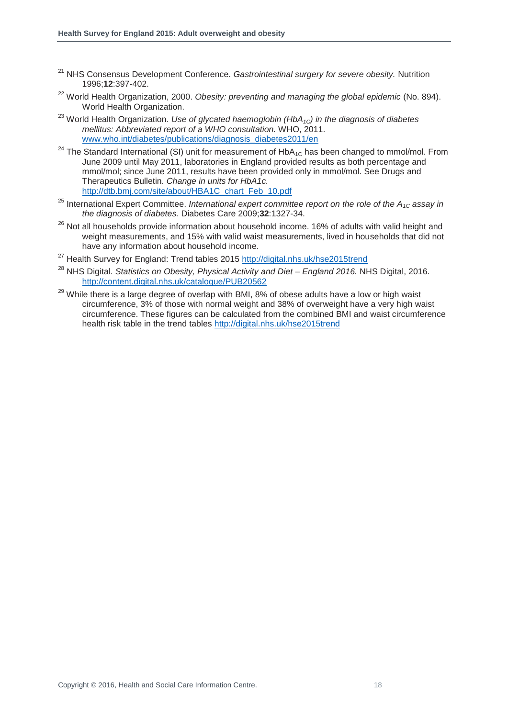- <sup>21</sup> NHS Consensus Development Conference. *Gastrointestinal surgery for severe obesity.* Nutrition 1996;**12**:397-402.
- <sup>22</sup> World Health Organization, 2000. *Obesity: preventing and managing the global epidemic* (No. 894). World Health Organization.
- <sup>23</sup> World Health Organization. *Use of glycated haemoglobin (HbA1C) in the diagnosis of diabetes mellitus: Abbreviated report of a WHO consultation.* WHO, 2011. [www.who.int/diabetes/publications/diagnosis\\_diabetes2011/en](file:///C:/Users/Jenny/Dropbox/Jenny%20personal/HSE%20report%20not%20confidential/ob/www.who.int/diabetes/publications/diagnosis_diabetes2011/en)
- <sup>24</sup> The Standard International (SI) unit for measurement of  $HbA_{1C}$  has been changed to mmol/mol. From June 2009 until May 2011, laboratories in England provided results as both percentage and mmol/mol; since June 2011, results have been provided only in mmol/mol. See Drugs and Therapeutics Bulletin. *Change in units for HbA1c.*  [http://dtb.bmj.com/site/about/HBA1C\\_chart\\_Feb\\_10.pdf](http://dtb.bmj.com/site/about/HBA1C_chart_Feb_10.pdf)
- <sup>25</sup> International Expert Committee. *International expert committee report on the role of the A<sub>1C</sub> assay in the diagnosis of diabetes.* Diabetes Care 2009;**32**:1327-34.
- <sup>26</sup> Not all households provide information about household income. 16% of adults with valid height and weight measurements, and 15% with valid waist measurements, lived in households that did not have any information about household income.
- <sup>27</sup> Health Survey for England: Trend tables 2015<http://digital.nhs.uk/hse2015trend>
- <sup>28</sup> NHS Digital. *Statistics on Obesity, Physical Activity and Diet – England 2016.* NHS Digital, 2016. <http://content.digital.nhs.uk/catalogue/PUB20562>
- $29$  While there is a large degree of overlap with BMI, 8% of obese adults have a low or high waist circumference, 3% of those with normal weight and 38% of overweight have a very high waist circumference. These figures can be calculated from the combined BMI and waist circumference health risk table in the trend tables<http://digital.nhs.uk/hse2015trend>